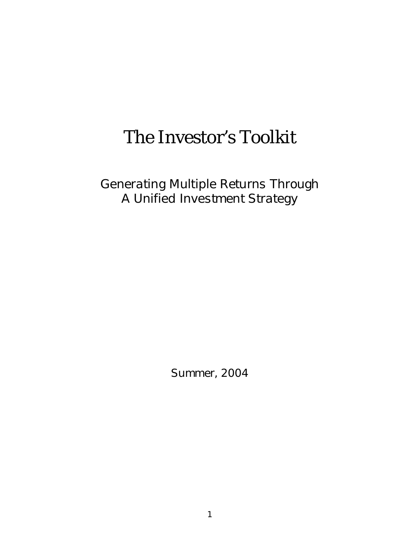# The Investor's Toolkit

*Generating Multiple Returns Through A Unified Investment Strategy*

*Summer, 2004*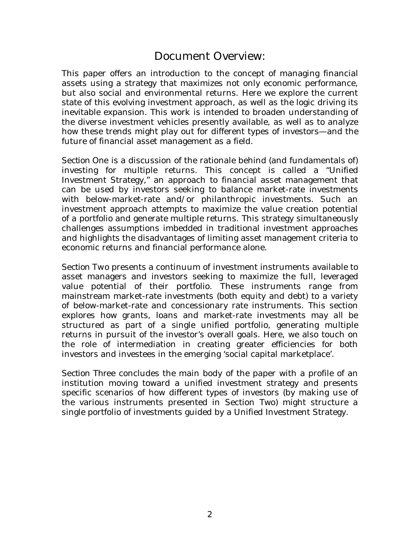## Document Overview:

This paper offers an introduction to the concept of managing financial assets using a strategy that maximizes not only economic performance, but also social and environmental returns. Here we explore the current state of this evolving investment approach, as well as the logic driving its inevitable expansion. This work is intended to broaden understanding of the diverse investment vehicles presently available, as well as to analyze how these trends might play out for different types of investors—and the future of financial asset management as a field.

*Section One* is a discussion of the rationale behind (and fundamentals of) investing for multiple returns. This concept is called a "Unified Investment Strategy," an approach to financial asset management that can be used by investors seeking to balance market-rate investments with below-market-rate and/or philanthropic investments. Such an investment approach attempts to maximize the value creation potential of a portfolio and generate multiple returns. This strategy simultaneously challenges assumptions imbedded in traditional investment approaches and highlights the disadvantages of limiting asset management criteria to economic returns and financial performance alone.

*Section Two* presents a continuum of investment instruments available to asset managers and investors seeking to maximize the full, leveraged value potential of their portfolio. These instruments range from mainstream market-rate investments (both equity and debt) to a variety of below-market-rate and concessionary rate instruments. This section explores how grants, loans and market-rate investments may *all* be structured as part of a single unified portfolio, generating multiple returns in pursuit of the investor's overall goals. Here, we also touch on the role of intermediation in creating greater efficiencies for both investors and investees in the emerging 'social capital marketplace'.

*Section Three* concludes the main body of the paper with a profile of an institution moving toward a unified investment strategy and presents specific scenarios of how different types of investors (by making use of the various instruments presented in Section Two) might structure a single portfolio of investments guided by a Unified Investment Strategy.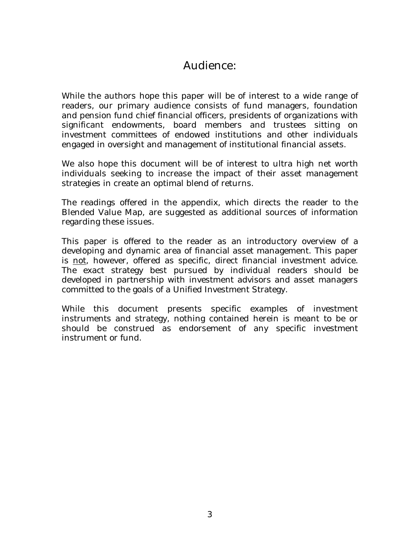## Audience:

While the authors hope this paper will be of interest to a wide range of readers, our primary audience consists of fund managers, foundation and pension fund chief financial officers, presidents of organizations with significant endowments, board members and trustees sitting on investment committees of endowed institutions and other individuals engaged in oversight and management of institutional financial assets.

We also hope this document will be of interest to ultra high net worth individuals seeking to increase the impact of their asset management strategies in create an optimal blend of returns.

The readings offered in the appendix, which directs the reader to the Blended Value Map, are suggested as additional sources of information regarding these issues.

This paper is offered to the reader as an introductory overview of a developing and dynamic area of financial asset management. This paper is not, however, offered as specific, direct financial investment advice. The exact strategy best pursued by individual readers should be developed in partnership with investment advisors and asset managers committed to the goals of a Unified Investment Strategy.

While this document presents specific examples of investment instruments and strategy, nothing contained herein is meant to be or should be construed as endorsement of any specific investment instrument or fund.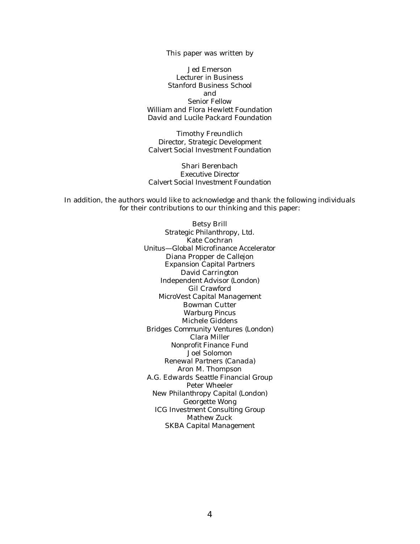This paper was written by

Jed Emerson *Lecturer in Business Stanford Business School* and *Senior Fellow William and Flora Hewlett Foundation David and Lucile Packard Foundation*

Timothy Freundlich *Director, Strategic Development Calvert Social Investment Foundation*

Shari Berenbach *Executive Director Calvert Social Investment Foundation*

In addition, the authors would like to acknowledge and thank the following individuals for their contributions to our thinking and this paper:

> Betsy Brill *Strategic Philanthropy, Ltd.* Kate Cochran *Unitus—Global Microfinance Accelerator* Diana Propper de Callejon *Expansion Capital Partners* David Carrington *Independent Advisor (London)* Gil Crawford *MicroVest Capital Management* Bowman Cutter *Warburg Pincus* Michele Giddens *Bridges Community Ventures (London)* Clara Miller *Nonprofit Finance Fund* Joel Solomon *Renewal Partners (Canada)* Aron M. Thompson *A.G. Edwards Seattle Financial Group* Peter Wheeler *New Philanthropy Capital (London)* Georgette Wong *ICG Investment Consulting Group* Mathew Zuck *SKBA Capital Management*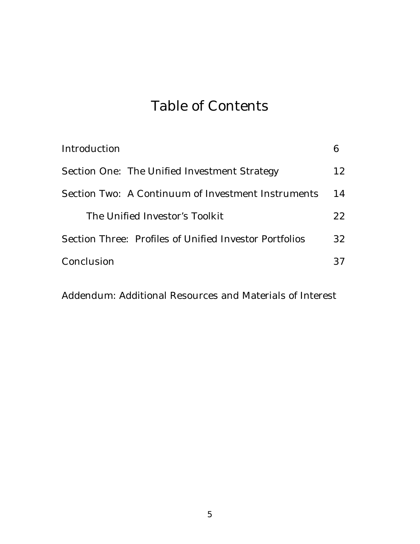# Table of Contents

| Introduction                                           |    |
|--------------------------------------------------------|----|
| Section One: The Unified Investment Strategy           | 12 |
| Section Two: A Continuum of Investment Instruments     | 14 |
| The Unified Investor's Toolkit                         |    |
| Section Three: Profiles of Unified Investor Portfolios | 32 |
| Conclusion                                             | 37 |

Addendum: Additional Resources and Materials of Interest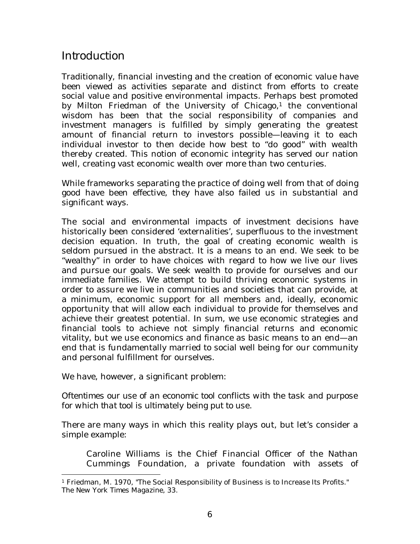## *Introduction*

Traditionally, financial investing and the creation of economic value have been viewed as activities separate and distinct from efforts to create social value and positive environmental impacts. Perhaps best promoted by Milton Friedman of the University of Chicago, $1$  the conventional wisdom has been that the social responsibility of companies and investment managers is fulfilled by simply generating the greatest amount of financial return to investors possible—leaving it to each individual investor to then decide how best to "do good" with wealth thereby created. This notion of economic integrity has served our nation well, creating vast economic wealth over more than two centuries.

While frameworks separating the practice of doing well from that of doing good have been effective, they have also failed us in substantial and significant ways.

The social and environmental impacts of investment decisions have historically been considered 'externalities', superfluous to the investment decision equation. In truth, the goal of creating economic wealth is seldom pursued in the abstract. It is a means to an end. We seek to be "wealthy" in order to have choices with regard to how we live our lives and pursue our goals. We seek wealth to provide for ourselves and our immediate families. We attempt to build thriving economic systems in order to assure we live in communities and societies that can provide, at a minimum, economic support for all members and, ideally, economic opportunity that will allow each individual to provide for themselves and achieve their greatest potential. In sum, we use economic strategies and financial tools to achieve not simply financial returns and economic vitality, but we use economics and finance as basic means to an end—an end that is fundamentally married to social well being for our community and personal fulfillment for ourselves.

We have, however, a significant problem:

*Oftentimes our use of an economic tool conflicts with the task and purpose for which that tool is ultimately being put to use*.

There are many ways in which this reality plays out, but let's consider a simple example:

Caroline Williams is the Chief Financial Officer of the Nathan Cummings Foundation, a private foundation with assets of

<sup>1</sup> Friedman, M. 1970, "The Social Responsibility of Business is to Increase Its Profits." *The New York Times Magazine*, 33.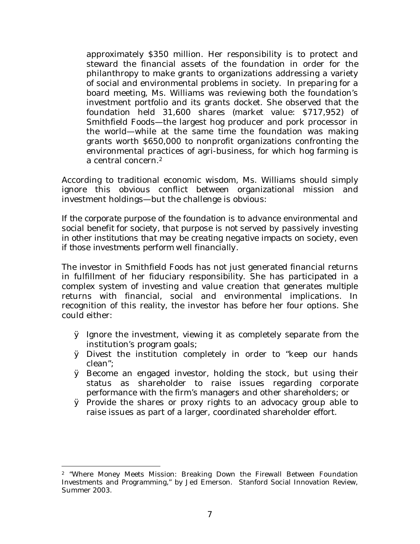approximately \$350 million. Her responsibility is to protect and steward the financial assets of the foundation in order for the philanthropy to make grants to organizations addressing a variety of social and environmental problems in society. In preparing for a board meeting, Ms. Williams was reviewing both the foundation's investment portfolio and its grants docket. She observed that the foundation held 31,600 shares (market value: \$717,952) of Smithfield Foods—the largest hog producer and pork processor in the world—while at the same time the foundation was making grants worth \$650,000 to nonprofit organizations confronting the environmental practices of agri-business, for which hog farming is a central concern.<sup>2</sup>

According to traditional economic wisdom, Ms. Williams should simply ignore this obvious conflict between organizational mission and investment holdings—but the challenge is obvious:

*If the corporate purpose of the foundation is to advance environmental and social benefit for society, that purpose is not served by passively investing in other institutions that may be creating negative impacts on society, even if those investments perform well financially.*

The investor in Smithfield Foods has not just generated financial returns in fulfillment of her fiduciary responsibility. She has participated in a complex system of investing and value creation that generates *multiple* returns with financial, social and environmental implications. In recognition of this reality, the investor has before her four options. She could either:

- Ø Ignore the investment, viewing it as completely separate from the institution's program goals;
- Ø Divest the institution completely in order to "keep our hands clean";
- Ø Become an engaged investor, holding the stock, but using their status as shareholder to raise issues regarding corporate performance with the firm's managers and other shareholders; or
- Ø Provide the shares or proxy rights to an advocacy group able to raise issues as part of a larger, coordinated shareholder effort.

<sup>2</sup> "Where Money Meets Mission: Breaking Down the Firewall Between Foundation Investments and Programming," by Jed Emerson. Stanford Social Innovation Review, Summer 2003.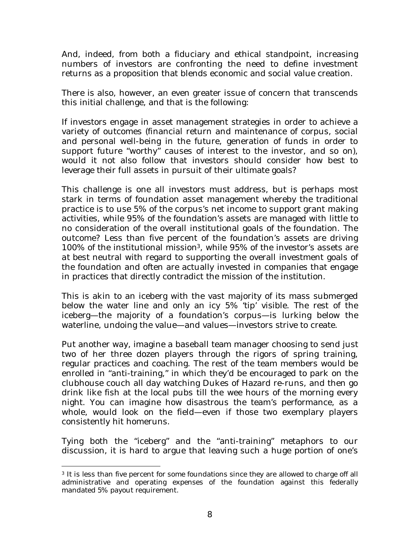And, indeed, from both a fiduciary and ethical standpoint, increasing numbers of investors are confronting the need to define investment returns as a proposition that blends economic and social value creation.

There is also, however, an even greater issue of concern that transcends this initial challenge, and that is the following:

If investors engage in asset management strategies in order to achieve a variety of outcomes (financial return and maintenance of corpus, social and personal well-being in the future, generation of funds in order to support future "worthy" causes of interest to the investor, and so on), would it not also follow that investors should consider how best to leverage their *full* assets in pursuit of their ultimate goals?

This challenge is one all investors must address, but is perhaps most stark in terms of foundation asset management whereby the traditional practice is to use 5% of the corpus's net income to support grant making activities, while 95% of the foundation's assets are managed with little to no consideration of the overall institutional goals of the foundation. The outcome? Less than five percent of the foundation's assets are driving 100% of the institutional mission<sup>3</sup>, while 95% of the investor's assets are *at best* neutral with regard to supporting the overall investment goals of the foundation and often are actually invested in companies that engage in practices that directly contradict the mission of the institution.

This is akin to an iceberg with the vast majority of its mass submerged below the water line and only an icy 5% 'tip' visible. The rest of the iceberg—the majority of a foundation's corpus—is lurking below the waterline, undoing the value—and values—investors strive to create.

Put another way, imagine a baseball team manager choosing to send just two of her three dozen players through the rigors of spring training, regular practices and coaching. The rest of the team members would be enrolled in "anti-training," in which they'd be encouraged to park on the clubhouse couch all day watching Dukes of Hazard re-runs, and then go drink like fish at the local pubs till the wee hours of the morning every night. You can imagine how disastrous the team's performance, as a whole, would look on the field—even if those two exemplary players consistently hit homeruns.

Tying both the "iceberg" and the "anti-training" metaphors to our discussion, it is hard to argue that leaving such a huge portion of one's

<sup>3</sup> It is *less* than five percent for some foundations since they are allowed to charge off all administrative and operating expenses of the foundation against this federally mandated 5% payout requirement.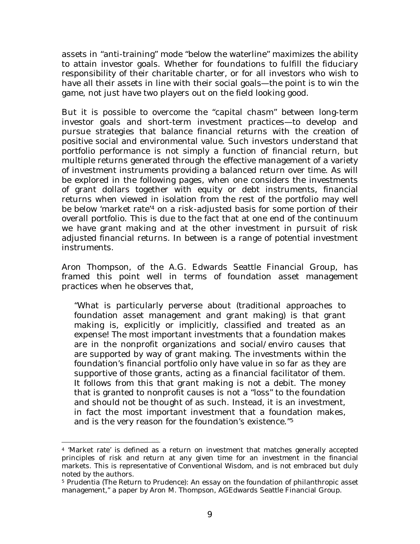assets in "anti-training" mode "below the waterline" maximizes the ability to attain investor goals. Whether for foundations to fulfill the fiduciary responsibility of their charitable charter, or for all investors who wish to have all their assets in line with their social goals—the point is to win the game, not just have two players out on the field looking good.

But it is possible to overcome the "capital chasm" between long-term investor goals and short-term investment practices—to develop and pursue strategies that balance financial returns with the creation of positive social and environmental value. Such investors understand that portfolio performance is not simply a function of financial return, but multiple returns generated through the effective management of a variety of investment instruments providing a balanced return over time. As will be explored in the following pages, when one considers the investments of grant dollars together with equity or debt instruments, financial returns when viewed in isolation from the rest of the portfolio may well be below 'market rate'4 on a risk-adjusted basis for some portion of their overall portfolio. This is due to the fact that at one end of the continuum we have grant making and at the other investment in pursuit of risk adjusted financial returns. In between is a range of potential investment instruments.

Aron Thompson, of the A.G. Edwards Seattle Financial Group, has framed this point well in terms of foundation asset management practices when he observes that,

"What is particularly perverse about (traditional approaches to foundation asset management and grant making) is that grant making is, explicitly or implicitly, classified and treated as an expense! The most important investments that a foundation makes are in the nonprofit organizations and social/enviro causes that are supported by way of grant making. The investments within the foundation's financial portfolio only have value in so far as they are supportive of those grants, acting as a financial facilitator of them. It follows from this that grant making is not a debit. The money that is granted to nonprofit causes is not a "loss" to the foundation and should not be thought of as such. Instead, it is an investment, in fact the most important investment that a foundation makes, and is the very reason for the foundation's existence."<sup>5</sup>

<sup>4</sup> 'Market rate' is defined as a return on investment that matches generally accepted principles of risk and return at any given time for an investment in the financial markets. This is representative of Conventional Wisdom, and is not embraced but duly noted by the authors.

<sup>5</sup> Prudentia (The Return to Prudence): An essay on the foundation of philanthropic asset management," a paper by Aron M. Thompson, AGEdwards Seattle Financial Group.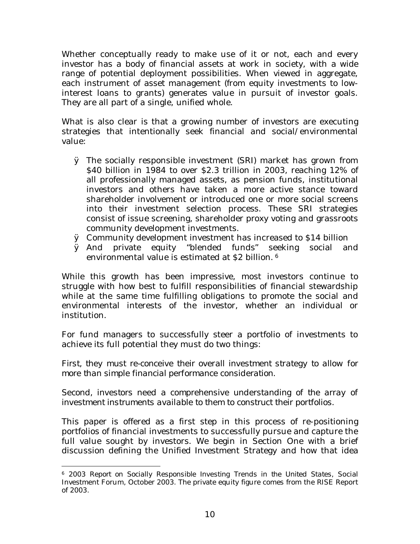Whether conceptually ready to make use of it or not, each and every investor has a body of financial assets at work in society, with a wide range of potential deployment possibilities. When viewed in aggregate, each instrument of asset management (from equity investments to lowinterest loans to grants) generates value in pursuit of investor goals. They are all part of a single, unified whole.

What is also clear is that a growing number of investors are executing strategies that intentionally seek financial *and* social/environmental value:

- Ø The socially responsible investment (SRI) market has grown from \$40 billion in 1984 to over \$2.3 trillion in 2003, reaching 12% of all professionally managed assets, as pension funds, institutional investors and others have taken a more active stance toward shareholder involvement or introduced one or more social screens into their investment selection process. These SRI strategies consist of issue screening, shareholder proxy voting and grassroots community development investments.
- Ø Community development investment has increased to \$14 billion
- Ø And private equity "blended funds" seeking social and environmental value is estimated at \$2 billion.<sup>6</sup>

While this growth has been impressive, most investors continue to struggle with how best to fulfill responsibilities of financial stewardship while at the same time fulfilling obligations to promote the social and environmental interests of the investor, whether an individual or institution.

For fund managers to successfully steer a portfolio of investments to achieve its full potential they must do two things:

*First, they must re-conceive their overall investment strategy to allow for more than simple financial performance consideration.*

*Second, investors need a comprehensive understanding of the array of investment instruments available to them to construct their portfolios.*

This paper is offered as a first step in this process of re-positioning portfolios of financial investments to successfully pursue and capture the full value sought by investors. We begin in Section One with a brief discussion defining the Unified Investment Strategy and how that idea

<sup>6</sup> *2003 Report on Socially Responsible Investing Trends in the United States*, Social Investment Forum, October 2003. The private equity figure comes from the RISE Report of 2003.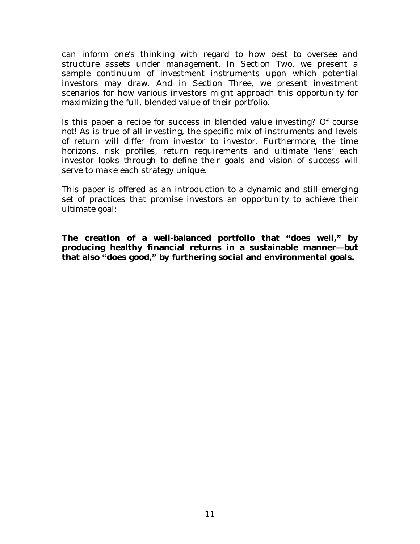can inform one's thinking with regard to how best to oversee and structure assets under management. In Section Two, we present a sample continuum of investment instruments upon which potential investors may draw. And in Section Three, we present investment scenarios for how various investors might approach this opportunity for maximizing the full, blended value of their portfolio.

Is this paper a recipe for success in blended value investing? *Of course not!* As is true of all investing, the specific mix of instruments and levels of return will differ from investor to investor. Furthermore, the time horizons, risk profiles, return requirements and ultimate 'lens' each investor looks through to define their goals and vision of success will serve to make each strategy unique.

This paper is offered as an introduction to a dynamic and still-emerging set of practices that promise investors an opportunity to achieve their ultimate goal:

**The creation of a well-balanced portfolio that ´does well,µ by producing healthy financial returns in a sustainable manner-but that also ´does good,µ by furthering social and environmental goals.**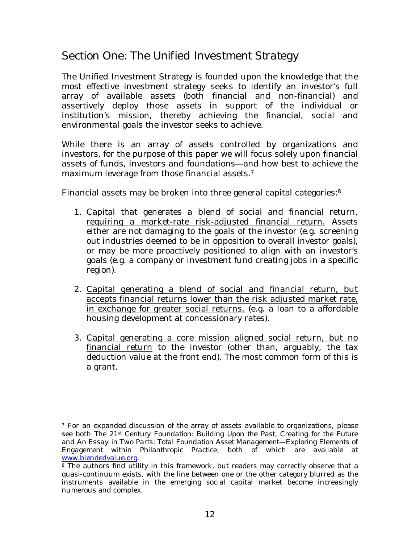## *Section One: The Unified Investment Strategy*

The Unified Investment Strategy is founded upon the knowledge that the most effective investment strategy seeks to identify an investor's full array of available assets (both financial and non-financial) and assertively deploy those assets in support of the individual or institution's mission, thereby achieving the financial, social and environmental goals the investor seeks to achieve.

While there is an array of assets controlled by organizations and investors, for the purpose of this paper we will focus solely upon financial assets of funds, investors and foundations—and how best to achieve the maximum leverage from those financial assets.<sup>7</sup>

Financial assets may be broken into three general capital categories:<sup>8</sup>

- 1. Capital that generates a blend of social and financial return, requiring a market-rate risk-adjusted financial return. Assets either are not damaging to the goals of the investor (e.g. screening out industries deemed to be in opposition to overall investor goals), or may be more proactively positioned to align with an investor's goals (e.g. a company or investment fund creating jobs in a specific region).
- 2. Capital generating a blend of social and financial return, but accepts financial returns lower than the risk adjusted market rate, in exchange for greater social returns. (e.g. a loan to a affordable housing development at concessionary rates).
- 3. Capital generating a core mission aligned social return, but no financial return to the investor (other than, arguably, the tax deduction value at the front end). The most common form of this is a grant.

 $7$  For an expanded discussion of the array of assets available to organizations, please see both *The 21st Century Foundation: Building Upon the Past, Creating for the Future* and *An Essay in Two Parts: Total Foundation Asset Management—Exploring Elements of Engagement within Philanthropic Practice*, both of which are available at www.blendedvalue.org.

<sup>&</sup>lt;sup>8</sup> The authors find utility in this framework, but readers may correctly observe that a quasi-continuum exists, with the line between one or the other category blurred as the instruments available in the emerging social capital market become increasingly numerous and complex.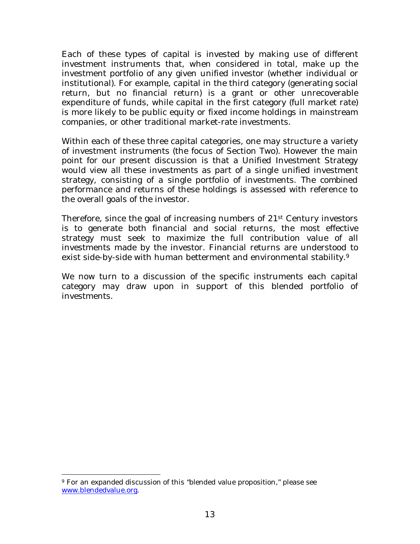Each of these types of capital is invested by making use of different investment instruments that, when considered in total, make up the investment portfolio of any given unified investor (whether individual or institutional). For example, capital in the third category (generating social return, but no financial return) is a grant or other unrecoverable expenditure of funds, while capital in the first category (full market rate) is more likely to be public equity or fixed income holdings in mainstream companies, or other traditional market-rate investments.

Within each of these three capital categories, one may structure a variety of investment instruments (the focus of Section Two). However the main point for our present discussion is that a Unified Investment Strategy would view *all* these investments as part of a single unified investment strategy, consisting of a single portfolio of investments. The *combined* performance and returns of these holdings is assessed with reference to the overall goals of the investor.

Therefore, since the goal of increasing numbers of 21st Century investors is to generate both financial and social returns, the most effective strategy must seek to maximize the full contribution value of all investments made by the investor. Financial returns are understood to exist side-by-side with human betterment and environmental stability.<sup>9</sup>

We now turn to a discussion of the specific instruments each capital category may draw upon in support of this blended portfolio of investments.

<sup>9</sup> For an expanded discussion of this "blended value proposition," please see www.blendedvalue.org.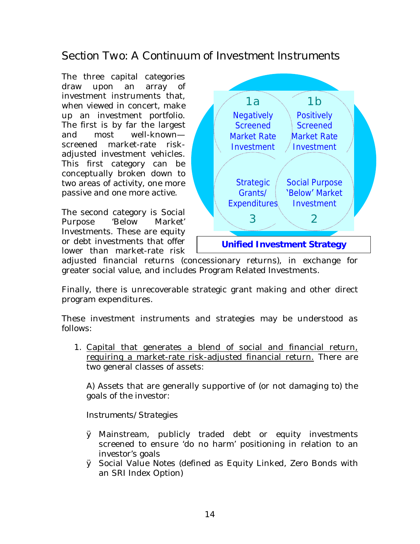## *Section Two: A Continuum of Investment Instruments*

The three capital categories draw upon an array of investment instruments that, when viewed in concert, make up an investment portfolio. The first is by far the largest and most well-known screened market-rate riskadjusted investment vehicles. This first category can be conceptually broken down to two areas of activity, one more passive and one more active.

The second category is Social Purpose 'Below Market' Investments. These are equity or debt investments that offer lower than market-rate risk



adjusted financial returns (concessionary returns), in exchange for greater social value, and includes Program Related Investments.

Finally, there is unrecoverable strategic grant making and other direct program expenditures.

These investment instruments and strategies may be understood as follows:

1. Capital that generates a blend of social and financial return, requiring a market-rate risk-adjusted financial return. There are two general classes of assets:

A) Assets that are generally supportive of (or not damaging to) the goals of the investor:

*Instruments/Strategies*

- Ø Mainstream, publicly traded debt or equity investments screened to ensure 'do no harm' positioning in relation to an investor's goals
- Ø Social Value Notes (defined as Equity Linked, Zero Bonds with an SRI Index Option)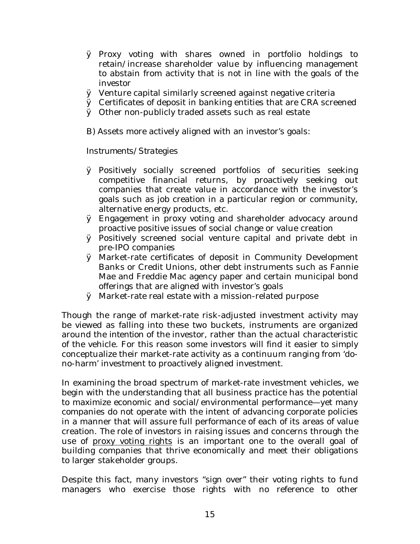- Ø Proxy voting with shares owned in portfolio holdings to retain/increase shareholder value by influencing management to abstain from activity that is not in line with the goals of the investor
- Ø Venture capital similarly screened against negative criteria
- Ø Certificates of deposit in banking entities that are CRA screened
- Ø Other non-publicly traded assets such as real estate

B) Assets more actively aligned with an investor's goals:

### *Instruments/Strategies*

- Ø Positively socially screened portfolios of securities seeking competitive financial returns, by proactively seeking out companies that create value in accordance with the investor's goals such as job creation in a particular region or community, alternative energy products, etc.
- Ø Engagement in proxy voting and shareholder advocacy around proactive positive issues of social change or value creation
- Ø Positively screened social venture capital and private debt in pre-IPO companies
- Ø Market-rate certificates of deposit in Community Development Banks or Credit Unions, other debt instruments such as Fannie Mae and Freddie Mac agency paper and certain municipal bond offerings that are aligned with investor's goals
- Ø Market-rate real estate with a mission-related purpose

Though the range of market-rate risk-adjusted investment activity may be viewed as falling into these two buckets, instruments are organized around the *intention* of the investor, rather than the actual characteristic of the vehicle. For this reason some investors will find it easier to simply conceptualize their market-rate activity as a continuum ranging from 'dono-harm' investment to proactively aligned investment.

In examining the broad spectrum of market-rate investment vehicles, we begin with the understanding that all business practice has the potential to maximize economic and social/environmental performance—yet many companies do not operate with the intent of advancing corporate policies in a manner that will assure full performance of each of its areas of value creation. The role of investors in raising issues and concerns through the use of proxy voting rights is an important one to the overall goal of building companies that thrive economically and meet their obligations to larger stakeholder groups.

Despite this fact, many investors "sign over" their voting rights to fund managers who exercise those rights with no reference to other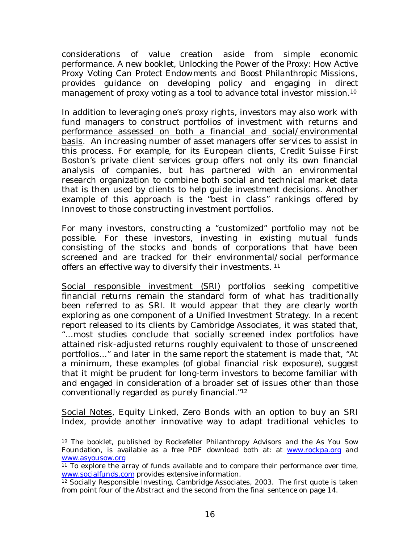considerations of value creation aside from simple economic performance. A new booklet, *Unlocking the Power of the Proxy: How Active Proxy Voting Can Protect Endowments and Boost Philanthropic Missions*, provides guidance on developing policy and engaging in direct management of proxy voting as a tool to advance total investor mission.<sup>10</sup>

In addition to leveraging one's proxy rights, investors may also work with fund managers to construct portfolios of investment with returns and performance assessed on both a financial and social/environmental basis. An increasing number of asset managers offer services to assist in this process. For example, for its European clients, Credit Suisse First Boston's private client services group offers not only its own financial analysis of companies, but has partnered with an environmental research organization to combine both social and technical market data that is then used by clients to help guide investment decisions. Another example of this approach is the "best in class" rankings offered by Innovest to those constructing investment portfolios.

For many investors, constructing a "customized" portfolio may not be possible. For these investors, investing in existing mutual funds consisting of the stocks and bonds of corporations that have been screened and are tracked for their environmental/social performance offers an effective way to diversify their investments.<sup>11</sup>

Social responsible investment (SRI) portfolios seeking competitive financial returns remain the standard form of what has traditionally been referred to as SRI. It would appear that they are clearly worth exploring as one component of a Unified Investment Strategy. In a recent report released to its clients by Cambridge Associates, it was stated that, "…most studies conclude that socially screened index portfolios have attained risk-adjusted returns roughly equivalent to those of unscreened portfolios..." and later in the same report the statement is made that, "At a minimum, these examples (of global financial risk exposure), suggest that it might be prudent for long-term investors to become familiar with and engaged in consideration of a broader set of issues other than those conventionally regarded as purely financial."<sup>12</sup>

Social Notes, Equity Linked, Zero Bonds with an option to buy an SRI Index, provide another innovative way to adapt traditional vehicles to

<sup>10</sup> The booklet, published by Rockefeller Philanthropy Advisors and the As You Sow Foundation, is available as a free PDF download both at: at www.rockpa.org and www.asyousow.org

 $\frac{11}{11}$  To explore the array of funds available and to compare their performance over time, www.socialfunds.com provides extensive information.

<sup>12</sup> Socially Responsible Investing, Cambridge Associates, 2003. The first quote is taken from point four of the Abstract and the second from the final sentence on page 14.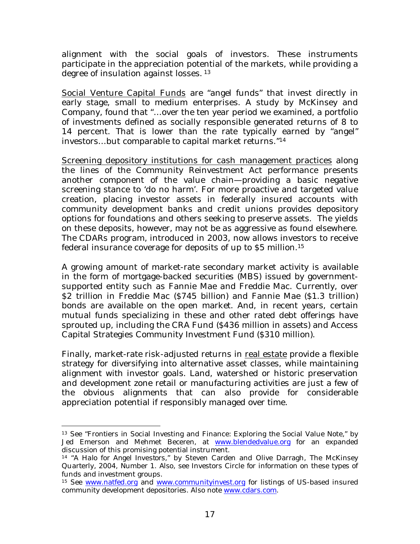alignment with the social goals of investors. These instruments participate in the appreciation potential of the markets, while providing a degree of insulation against losses.<sup>13</sup>

Social Venture Capital Funds are "angel funds" that invest directly in early stage, small to medium enterprises. A study by McKinsey and Company, found that "…over the ten year period we examined, a portfolio of investments defined as socially responsible generated returns of 8 to 14 percent. That is lower than the rate typically earned by "angel" investors…but comparable to capital market returns."<sup>14</sup>

Screening depository institutions for cash management practices along the lines of the Community Reinvestment Act performance presents another component of the value chain—providing a basic negative screening stance to 'do no harm'. For more proactive and targeted value creation, placing investor assets in federally insured accounts with community development banks and credit unions provides depository options for foundations and others seeking to preserve assets. The yields on these deposits, however, may not be as aggressive as found elsewhere. The CDARs program, introduced in 2003, now allows investors to receive federal insurance coverage for deposits of up to \$5 million.<sup>15</sup>

A growing amount of market-rate secondary market activity is available in the form of mortgage-backed securities (MBS) issued by governmentsupported entity such as Fannie Mae and Freddie Mac. Currently, over \$2 trillion in Freddie Mac (\$745 billion) and Fannie Mae (\$1.3 trillion) bonds are available on the open market. And, in recent years, certain mutual funds specializing in these and other rated debt offerings have sprouted up, including the CRA Fund (\$436 million in assets) and Access Capital Strategies Community Investment Fund (\$310 million).

Finally, market-rate risk-adjusted returns in real estate provide a flexible strategy for diversifying into alternative asset classes, while maintaining alignment with investor goals. Land, watershed or historic preservation and development zone retail or manufacturing activities are just a few of the obvious alignments that can also provide for considerable appreciation potential if responsibly managed over time.

<sup>13</sup> See "Frontiers in Social Investing and Finance: Exploring the Social Value Note," by Jed Emerson and Mehmet Beceren, at www.blendedvalue.org for an expanded discussion of this promising potential instrument.

<sup>14</sup> "*A Halo for Angel Investors*," by Steven Carden and Olive Darragh, The McKinsey Quarterly, 2004, Number 1. Also, see Investors Circle for information on these types of funds and investment groups.

<sup>15</sup> See www.natfed.org and www.communityinvest.org for listings of US-based insured community development depositories. Also note www.cdars.com.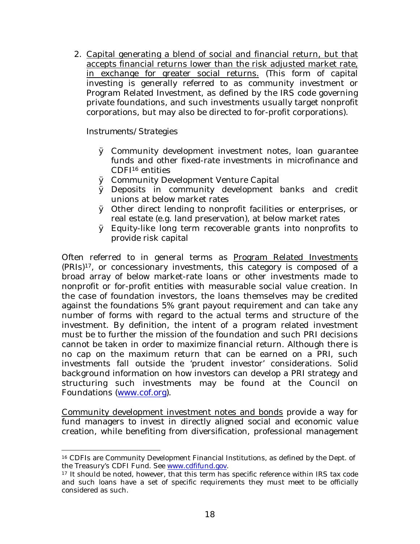2. Capital generating a blend of social and financial return, but that accepts financial returns lower than the risk adjusted market rate, in exchange for greater social returns. (This form of capital investing is generally referred to as community investment or Program Related Investment, as defined by the IRS code governing private foundations, and such investments usually target nonprofit corporations, but may also be directed to for-profit corporations).

### *Instruments/Strategies*

- Ø Community development investment notes, loan guarantee funds and other fixed-rate investments in microfinance and CDFI16 entities
- Ø Community Development Venture Capital
- Ø Deposits in community development banks and credit unions at below market rates
- Ø Other direct lending to nonprofit facilities or enterprises, or real estate (e.g. land preservation), at below market rates
- Ø Equity-like long term recoverable grants into nonprofits to provide risk capital

Often referred to in general terms as Program Related Investments (PRIs)17, or concessionary investments, this category is composed of a broad array of below market-rate loans or other investments made to nonprofit or for-profit entities with measurable social value creation. In the case of foundation investors, the loans themselves may be credited against the foundations 5% grant payout requirement and can take any number of forms with regard to the actual terms and structure of the investment. By definition, the intent of a program related investment must be to further the mission of the foundation and such PRI decisions cannot be taken in order to maximize financial return. Although there is no cap on the maximum return that can be earned on a PRI, such investments fall outside the 'prudent investor' considerations. Solid background information on how investors can develop a PRI strategy and structuring such investments may be found at the Council on Foundations (www.cof.org).

Community development investment notes and bonds provide a way for fund managers to invest in directly aligned social and economic value creation, while benefiting from diversification, professional management

<sup>16</sup> CDFIs are Community Development Financial Institutions, as defined by the Dept. of the Treasury's CDFI Fund. See www.cdfifund.gov.

<sup>17</sup> It should be noted, however, that this term has specific reference within IRS tax code and such loans have a set of specific requirements they must meet to be officially considered as such.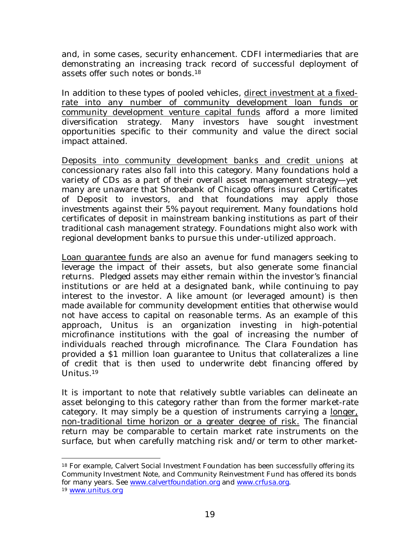and, in some cases, security enhancement. CDFI intermediaries that are demonstrating an increasing track record of successful deployment of assets offer such notes or bonds.<sup>18</sup>

In addition to these types of pooled vehicles, direct investment at a fixedrate into any number of community development loan funds or community development venture capital funds afford a more limited diversification strategy. Many investors have sought investment opportunities specific to their community and value the direct social impact attained.

Deposits into community development banks and credit unions at concessionary rates also fall into this category. Many foundations hold a variety of CDs as a part of their overall asset management strategy—yet many are unaware that Shorebank of Chicago offers insured Certificates of Deposit to investors, and that *foundations may apply those investments against their 5% payout requirement.* Many foundations hold certificates of deposit in mainstream banking institutions as part of their traditional cash management strategy. Foundations might also work with regional development banks to pursue this under-utilized approach.

Loan guarantee funds are also an avenue for fund managers seeking to leverage the impact of their assets, but also generate some financial returns. Pledged assets may either remain within the investor's financial institutions or are held at a designated bank, while continuing to pay interest to the investor. A like amount (or leveraged amount) is then made available for community development entities that otherwise would not have access to capital on reasonable terms. As an example of this approach, Unitus is an organization investing in high-potential microfinance institutions with the goal of increasing the number of individuals reached through microfinance. The Clara Foundation has provided a \$1 million loan guarantee to Unitus that collateralizes a line of credit that is then used to underwrite debt financing offered by Unitus.<sup>19</sup>

It is important to note that relatively subtle variables can delineate an asset belonging to this category rather than from the former market-rate category. It may simply be a question of instruments carrying a longer, non-traditional time horizon or a greater degree of risk. The financial return may be comparable to certain market rate instruments on the surface, but when carefully matching risk and/or term to other market-

<sup>18</sup> For example, Calvert Social Investment Foundation has been successfully offering its Community Investment Note, and Community Reinvestment Fund has offered its bonds for many years. See www.calvertfoundation.org and www.crfusa.org.

<sup>19</sup> www.unitus.org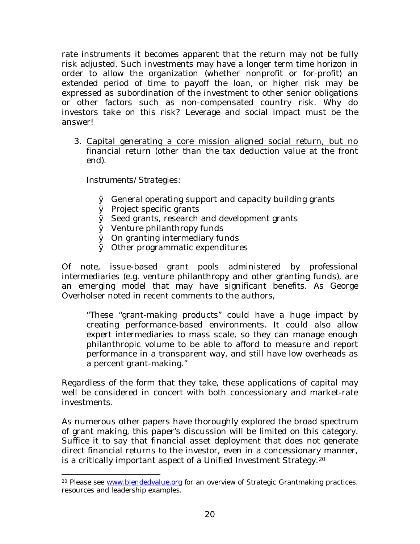rate instruments it becomes apparent that the return may not be fully risk adjusted. Such investments may have a longer term time horizon in order to allow the organization (whether nonprofit or for-profit) an extended period of time to payoff the loan, or higher risk may be expressed as subordination of the investment to other senior obligations or other factors such as non-compensated country risk. Why do investors take on this risk? Leverage and social impact must be the answer!

3. Capital generating a core mission aligned social return, but no financial return (other than the tax deduction value at the front end).

### *Instruments/Strategies:*

- Ø General operating support and capacity building grants
- Ø Project specific grants
- Ø Seed grants, research and development grants
- Ø Venture philanthropy funds
- Ø On granting intermediary funds
- Ø Other programmatic expenditures

Of note, issue-based grant pools administered by professional intermediaries (e.g. venture philanthropy and other granting funds), are an emerging model that may have significant benefits. As George Overholser noted in recent comments to the authors,

"These "grant-making products" could have a huge impact by creating performance-based environments. It could also allow expert intermediaries to mass scale, so they can manage enough philanthropic volume to be able to afford to measure and report performance in a transparent way, and still have low overheads as a percent grant-making."

Regardless of the form that they take, these applications of capital may well be considered in concert with both concessionary and market-rate investments.

As numerous other papers have thoroughly explored the broad spectrum of grant making, this paper's discussion will be limited on this category. Suffice it to say that financial asset deployment that does not generate direct financial returns to the investor, even in a concessionary manner, is a critically important aspect of a Unified Investment Strategy.<sup>20</sup>

<sup>&</sup>lt;sup>20</sup> Please see www.blendedvalue.org for an overview of Strategic Grantmaking practices, resources and leadership examples.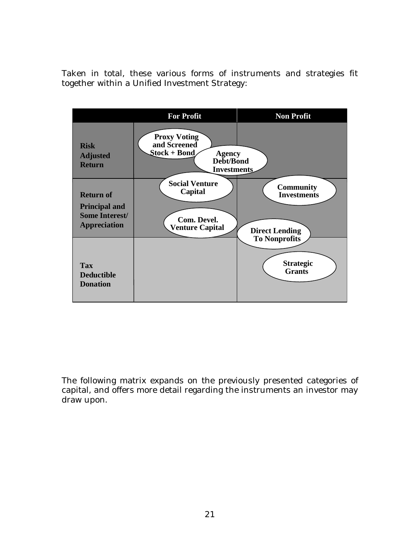Taken in total, these various forms of instruments and strategies fit together within a Unified Investment Strategy:



The following matrix expands on the previously presented categories of capital, and offers more detail regarding the instruments an investor may draw upon.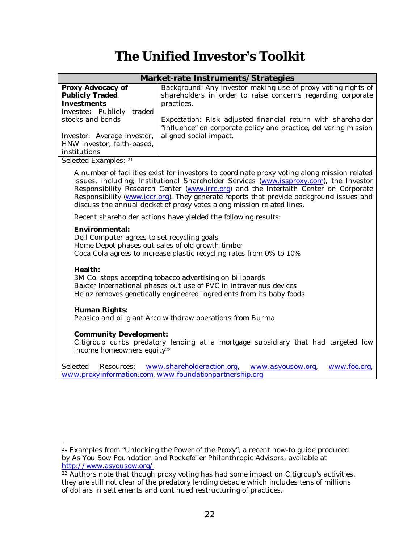## **The Unified Investor¶s Toolkit**

| Market-rate Instruments/Strategies                               |                                                                                                                                                                                                                                                                                                                                                                                                                                                   |  |
|------------------------------------------------------------------|---------------------------------------------------------------------------------------------------------------------------------------------------------------------------------------------------------------------------------------------------------------------------------------------------------------------------------------------------------------------------------------------------------------------------------------------------|--|
| Proxy Advocacy of<br>Publicly Traded<br>Investments              | Background: Any investor making use of proxy voting rights of<br>shareholders in order to raise concerns regarding corporate<br>practices.                                                                                                                                                                                                                                                                                                        |  |
| Investee: Publicly traded                                        |                                                                                                                                                                                                                                                                                                                                                                                                                                                   |  |
| stocks and bonds                                                 | Expectation: Risk adjusted financial return with shareholder<br>"influence" on corporate policy and practice, delivering mission                                                                                                                                                                                                                                                                                                                  |  |
| Investor: Average investor,<br>HNW investor, faith-based,        | aligned social impact.                                                                                                                                                                                                                                                                                                                                                                                                                            |  |
| institutions                                                     |                                                                                                                                                                                                                                                                                                                                                                                                                                                   |  |
| Selected Examples: 21                                            |                                                                                                                                                                                                                                                                                                                                                                                                                                                   |  |
|                                                                  | A number of facilities exist for investors to coordinate proxy voting along mission related<br>issues, including; Institutional Shareholder Services (www.issproxy.com), the Investor<br>Responsibility Research Center (www.irrc.org) and the Interfaith Center on Corporate<br>Responsibility (www.iccr.org). They generate reports that provide background issues and<br>discuss the annual docket of proxy votes along mission related lines. |  |
|                                                                  | Recent shareholder actions have yielded the following results:                                                                                                                                                                                                                                                                                                                                                                                    |  |
| Environmental:<br>Dell Computer agrees to set recycling goals    | Home Depot phases out sales of old growth timber<br>Coca Cola agrees to increase plastic recycling rates from 0% to 10%                                                                                                                                                                                                                                                                                                                           |  |
| Health:                                                          | 3M Co. stops accepting tobacco advertising on billboards<br>Baxter International phases out use of PVC in intravenous devices<br>Heinz removes genetically engineered ingredients from its baby foods                                                                                                                                                                                                                                             |  |
| Human Rights:                                                    | Pepsico and oil giant Arco withdraw operations from Burma                                                                                                                                                                                                                                                                                                                                                                                         |  |
| Community Development:<br>income homeowners equity <sup>22</sup> | Citigroup curbs predatory lending at a mortgage subsidiary that had targeted low                                                                                                                                                                                                                                                                                                                                                                  |  |
| Selected<br>Resources:                                           | www.shareholderaction.org,<br>www.foe.org,<br>www.asyousow.org,                                                                                                                                                                                                                                                                                                                                                                                   |  |
|                                                                  | www.proxyinformation.com, www.foundationpartnership.org                                                                                                                                                                                                                                                                                                                                                                                           |  |

<sup>21</sup> Examples from "Unlocking the Power of the Proxy", a recent how-to guide produced by As You Sow Foundation and Rockefeller Philanthropic Advisors, available at http://www.asyousow.org/

<sup>&</sup>lt;sup>22</sup> Authors note that though proxy voting has had some impact on Citigroup's activities, they are still not clear of the predatory lending debacle which includes tens of millions of dollars in settlements and continued restructuring of practices.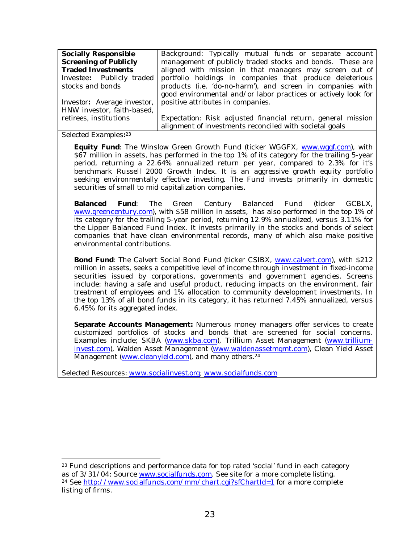| Socially Responsible             | Background: Typically mutual funds or separate account         |
|----------------------------------|----------------------------------------------------------------|
| Screening of Publicly            | management of publicly traded stocks and bonds. These are      |
| <b>Traded Investments</b>        | aligned with mission in that managers may screen out of        |
| <i>Investee:</i> Publicly traded | portfolio holdings in companies that produce deleterious       |
| stocks and bonds                 | products (i.e. 'do-no-harm'), and screen in companies with     |
|                                  | good environmental and/or labor practices or actively look for |
| Investor: Average investor,      | positive attributes in companies.                              |
| HNW investor, faith-based,       |                                                                |
| retirees, institutions           | Expectation: Risk adjusted financial return, general mission   |
|                                  | alignment of investments reconciled with societal goals        |

*Selected Examples: 23*

**Equity Fund**: The Winslow Green Growth Fund (ticker WGGFX, www.wggf.com), with \$67 million in assets, has performed in the top 1% of its category for the trailing 5-year period, returning a 22.64% annualized return per year, compared to 2.3% for it's benchmark Russell 2000 Growth Index. It is an aggressive growth equity portfolio seeking environmentally effective investing. The Fund invests primarily in domestic securities of small to mid capitalization companies.

**Balanced Fund**: The Green Century Balanced Fund (ticker GCBLX, www.greencentury.com), with \$58 million in assets, has also performed in the top 1% of its category for the trailing 5-year period, returning 12.9% annualized, versus 3.11% for the Lipper Balanced Fund Index. It invests primarily in the stocks and bonds of select companies that have clean environmental records, many of which also make positive environmental contributions.

**Bond Fund**: The Calvert Social Bond Fund (ticker CSIBX, www.calvert.com), with \$212 million in assets, seeks a competitive level of income through investment in fixed-income securities issued by corporations, governments and government agencies. Screens include: having a safe and useful product, reducing impacts on the environment, fair treatment of employees and 1% allocation to community development investments. In the top 13% of all bond funds in its category, it has returned 7.45% annualized, versus 6.45% for its aggregated index.

**Separate Accounts Management:** Numerous money managers offer services to create customized portfolios of stocks and bonds that are screened for social concerns. Examples include; SKBA (www.skba.com), Trillium Asset Management (www.trilliuminvest.com), Walden Asset Management (www.waldenassetmgmt.com), Clean Yield Asset Management (www.cleanyield.com), and many others.<sup>24</sup>

*Selected Resources: www.socialinvest.org; www.socialfunds.com*

<sup>&</sup>lt;sup>23</sup> Fund descriptions and performance data for top rated 'social' fund in each category as of 3/31/04: Source www.socialfunds.com. See site for a more complete listing. <sup>24</sup> See http://www.socialfunds.com/mm/chart.cgi?sfChartId=1 for a more complete listing of firms.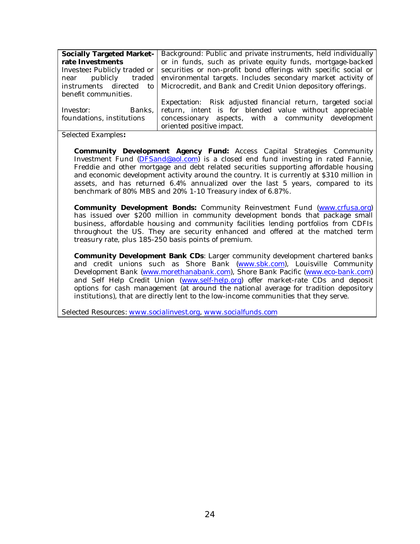| Socially Targeted Market-    | Background: Public and private instruments, held individually                     |
|------------------------------|-----------------------------------------------------------------------------------|
| rate Investments             | or in funds, such as private equity funds, mortgage-backed                        |
| Investee: Publicly traded or | securities or non-profit bond offerings with specific social or                   |
|                              | near publicly traded environmental targets. Includes secondary market activity of |
| instruments directed         | to   Microcredit, and Bank and Credit Union depository offerings.                 |
| benefit communities.         |                                                                                   |
|                              | Expectation: Risk adjusted financial return, targeted social                      |
| Banks, I<br>Investor:        | return, intent is for blended value without appreciable                           |
| foundations, institutions    | concessionary aspects, with a community development                               |
|                              | oriented positive impact.                                                         |

*Selected Examples:*

**Community Development Agency Fund:** Access Capital Strategies Community Investment Fund (DFSand@aol.com) is a closed end fund investing in rated Fannie, Freddie and other mortgage and debt related securities supporting affordable housing and economic development activity around the country. It is currently at \$310 million in assets, and has returned 6.4% annualized over the last 5 years, compared to its benchmark of 80% MBS and 20% 1-10 Treasury index of 6.87%.

**Community Development Bonds:** Community Reinvestment Fund (www.crfusa.org) has issued over \$200 million in community development bonds that package small business, affordable housing and community facilities lending portfolios from CDFIs throughout the US. They are security enhanced and offered at the matched term treasury rate, plus 185-250 basis points of premium.

**Community Development Bank CDs**: Larger community development chartered banks and credit unions such as Shore Bank (www.sbk.com), Louisville Community Development Bank (www.morethanabank.com), Shore Bank Pacific (www.eco-bank.com) and Self Help Credit Union (www.self-help.org) offer market-rate CDs and deposit options for cash management (at around the national average for tradition depository institutions), that are directly lent to the low-income communities that they serve.

*Selected Resources: www.socialinvest.org, www.socialfunds.com*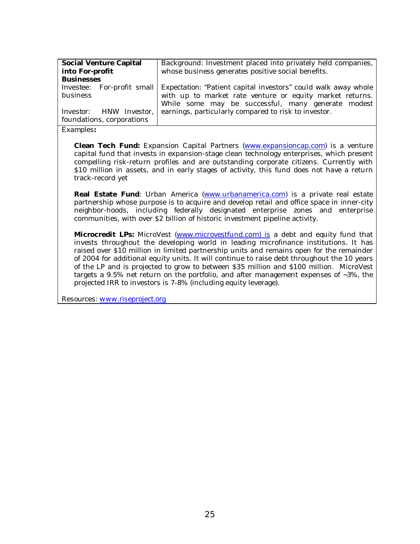| Social Venture Capital          | Background: Investment placed into privately held companies,                                                |
|---------------------------------|-------------------------------------------------------------------------------------------------------------|
| into For-profit                 | whose business generates positive social benefits.                                                          |
| <b>Businesses</b>               |                                                                                                             |
|                                 | <i>Investee</i> : For-profit small   <i>Expectation</i> : "Patient capital investors" could walk away whole |
| business                        | with up to market rate venture or equity market returns.                                                    |
|                                 | While some may be successful, many generate modest                                                          |
| <i>Investor</i> : HNW Investor, | earnings, particularly compared to risk to investor.                                                        |
| foundations, corporations       |                                                                                                             |
|                                 |                                                                                                             |

**Clean Tech Fund:** Expansion Capital Partners (www.expansioncap.com) is a venture capital fund that invests in expansion-stage clean technology enterprises, which present compelling risk-return profiles and are outstanding corporate citizens. Currently with \$10 million in assets, and in early stages of activity, this fund does not have a return track-record yet

**Real Estate Fund**: Urban America (www.urbanamerica.com) is a private real estate partnership whose purpose is to acquire and develop retail and office space in inner-city neighbor-hoods, including federally designated enterprise zones and enterprise communities, with over \$2 billion of historic investment pipeline activity.

**Microcredit LPs:** MicroVest (www.microvestfund.com) is a debt and equity fund that invests throughout the developing world in leading microfinance institutions. It has raised over \$10 million in limited partnership units and remains open for the remainder of 2004 for additional equity units. It will continue to raise debt throughout the 10 years of the LP and is projected to grow to between \$35 million and \$100 million. MicroVest targets a 9.5% net return on the portfolio, and after management expenses of ~3%, the projected IRR to investors is 7-8% (including equity leverage).

*Resources: www.riseproject.org*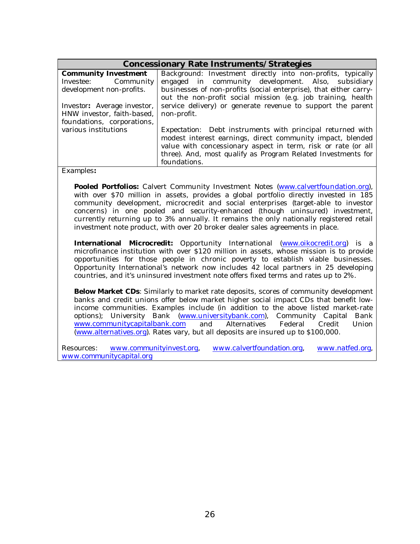| Concessionary Rate Instruments/Strategies |                                                                   |  |
|-------------------------------------------|-------------------------------------------------------------------|--|
| Community Investment                      | Background: Investment directly into non-profits, typically       |  |
| <i>Investee:</i> Community                | engaged in community development. Also, subsidiary                |  |
| development non-profits.                  | businesses of non-profits (social enterprise), that either carry- |  |
|                                           | out the non-profit social mission (e.g. job training, health      |  |
| Investor: Average investor,               | service delivery) or generate revenue to support the parent       |  |
| HNW investor, faith-based,                | non-profit.                                                       |  |
| foundations, corporations,                |                                                                   |  |
| various institutions                      | Expectation: Debt instruments with principal returned with        |  |
|                                           | modest interest earnings, direct community impact, blended        |  |
|                                           | value with concessionary aspect in term, risk or rate (or all     |  |
|                                           | three). And, most qualify as Program Related Investments for      |  |
|                                           | foundations.                                                      |  |

**Pooled Portfolios:** Calvert Community Investment Notes (www.calvertfoundation.org), with over \$70 million in assets, provides a global portfolio directly invested in 185 community development, microcredit and social enterprises (target-able to investor concerns) in one pooled and security-enhanced (though uninsured) investment, currently returning up to 3% annually. It remains the only nationally registered retail investment note product, with over 20 broker dealer sales agreements in place.

**International Microcredit:** Opportunity International (www.oikocredit.org) is a microfinance institution with over \$120 million in assets, whose mission is to provide opportunities for those people in chronic poverty to establish viable businesses. Opportunity International's network now includes 42 local partners in 25 developing countries, and it's uninsured investment note offers fixed terms and rates up to 2%.

**Below Market CDs**: Similarly to market rate deposits, scores of community development banks and credit unions offer below market higher social impact CDs that benefit lowincome communities. Examples include (in addition to the above listed market-rate options); University Bank (www.universitybank.com), Community Capital Bank www.communitycapitalbank.com and Alternatives Federal Credit Union (www.alternatives.org). Rates vary, but all deposits are insured up to \$100,000.

*Resources: www.communityinvest.org, www.calvertfoundation.org, www.natfed.org, www.communitycapital.org*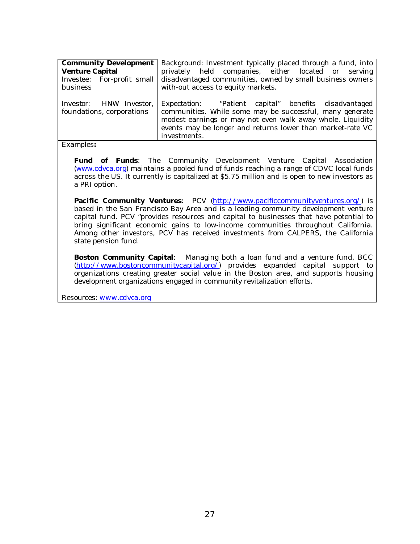| Community Development<br>Venture Capital                     | Background: Investment typically placed through a fund, into<br>privately held companies, either located or serving                                                                                                                                                   |
|--------------------------------------------------------------|-----------------------------------------------------------------------------------------------------------------------------------------------------------------------------------------------------------------------------------------------------------------------|
| <i>Investee:</i> For-profit small                            | disadvantaged communities, owned by small business owners                                                                                                                                                                                                             |
| business                                                     | with-out access to equity markets.                                                                                                                                                                                                                                    |
| <i>Investor</i> : HNW Investor,<br>foundations, corporations | <i>Expectation</i> : "Patient capital" benefits disadvantaged<br>communities. While some may be successful, many generate<br>modest earnings or may not even walk away whole. Liquidity<br>events may be longer and returns lower than market-rate VC<br>investments. |

**Fund of Funds**: The Community Development Venture Capital Association (www.cdvca.org) maintains a pooled fund of funds reaching a range of CDVC local funds across the US. It currently is capitalized at \$5.75 million and is open to new investors as a PRI option.

**Pacific Community Ventures**: PCV (http://www.pacificcommunityventures.org/) is based in the San Francisco Bay Area and is a leading community development venture capital fund. PCV "provides resources and capital to businesses that have potential to bring significant economic gains to low-income communities throughout California. Among other investors, PCV has received investments from CALPERS, the California state pension fund.

**Boston Community Capital**: Managing both a loan fund and a venture fund, BCC (http://www.bostoncommunitycapital.org/) provides expanded capital support to organizations creating greater social value in the Boston area, and supports housing development organizations engaged in community revitalization efforts.

*Resources: www.cdvca.org*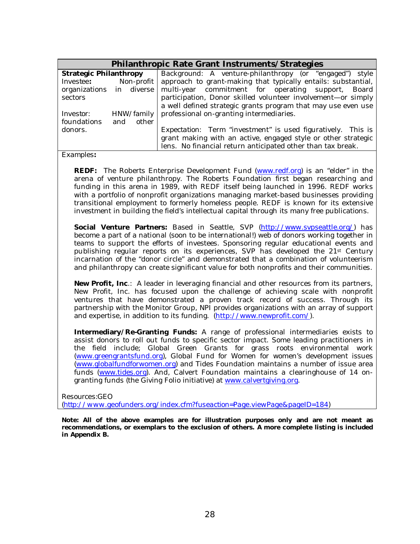|                          |     |            | Philanthropic Rate Grant Instruments/Strategies                      |
|--------------------------|-----|------------|----------------------------------------------------------------------|
| Strategic Philanthropy   |     |            | Background: A venture-philanthropy (or "engaged")<br>style           |
| <i>Investee:</i>         |     | Non-profit | approach to grant-making that typically entails: substantial,        |
| organizations in diverse |     |            | multi-year commitment for operating support,<br>Board                |
| sectors                  |     |            | participation, Donor skilled volunteer involvement-or simply         |
|                          |     |            | a well defined strategic grants program that may use even use        |
| Investor:                |     | HNW/family | professional on-granting intermediaries.                             |
| foundations              | and | other      |                                                                      |
| donors.                  |     |            | <i>Expectation</i> : Term "investment" is used figuratively. This is |
|                          |     |            | grant making with an active, engaged style or other strategic        |
|                          |     |            | lens. No financial return anticipated other than tax break.          |

**REDF:** The Roberts Enterprise Development Fund (www.redf.org) is an "elder" in the arena of venture philanthropy. The Roberts Foundation first began researching and funding in this arena in 1989, with REDF itself being launched in 1996. REDF works with a portfolio of nonprofit organizations managing market-based businesses providing transitional employment to formerly homeless people. REDF is known for its extensive investment in building the field's intellectual capital through its many free publications.

**Social Venture Partners:** Based in Seattle, SVP (http://www.svpseattle.org/) has become a part of a national (soon to be international!) web of donors working together in teams to support the efforts of investees. Sponsoring regular educational events and publishing regular reports on its experiences, SVP has developed the 21st Century incarnation of the "donor circle" and demonstrated that a combination of volunteerism and philanthropy can create significant value for both nonprofits and their communities.

**New Profit, Inc**.: A leader in leveraging financial and other resources from its partners, New Profit, Inc. has focused upon the challenge of achieving scale with nonprofit ventures that have demonstrated a proven track record of success. Through its partnership with the Monitor Group, NPI provides organizations with an array of support and expertise, in addition to its funding. (http://www.newprofit.com/).

**Intermediary/Re-Granting Funds:** A range of professional intermediaries exists to assist donors to roll out funds to specific sector impact. Some leading practitioners in the field include; Global Green Grants for grass roots environmental work (www.greengrantsfund.org), Global Fund for Women for women's development issues (www.globalfundforwomen.org) and Tides Foundation maintains a number of issue area funds (www.tides.org). And, Calvert Foundation maintains a clearinghouse of 14 ongranting funds (the Giving Folio initiative) at www.calvertgiving.org.

*Resources:GEO*

*(http://www.geofunders.org/index.cfm?fuseaction=Page.viewPage&pageID=184)*

**Note: All of the above examples are for illustration purposes only and are not meant as recommendations, or exemplars to the exclusion of others. A more complete listing is included in Appendix B.**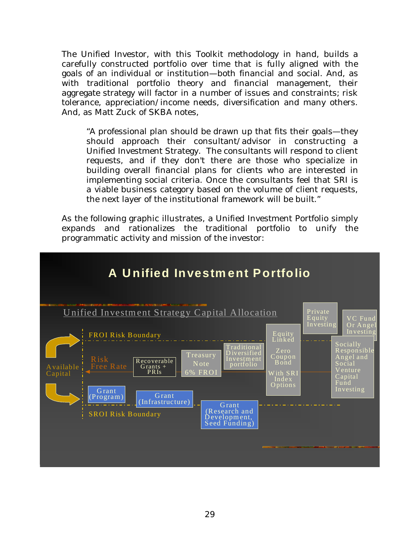The Unified Investor, with this Toolkit methodology in hand, builds a carefully constructed portfolio over time that is fully aligned with the goals of an individual or institution—both financial and social. And, as with traditional portfolio theory and financial management, their aggregate strategy will factor in a number of issues and constraints; risk tolerance, appreciation/income needs, diversification and many others. And, as Matt Zuck of SKBA notes,

"A professional plan should be drawn up that fits their goals—they should approach their consultant/advisor in constructing a Unified Investment Strategy. The consultants will respond to client requests, and if they don't there are those who specialize in building overall financial plans for clients who are interested in implementing social criteria. Once the consultants feel that SRI is a viable business category based on the volume of client requests, the next layer of the institutional framework will be built."

As the following graphic illustrates, a Unified Investment Portfolio simply expands and rationalizes the traditional portfolio to unify the programmatic activity and mission of the investor:

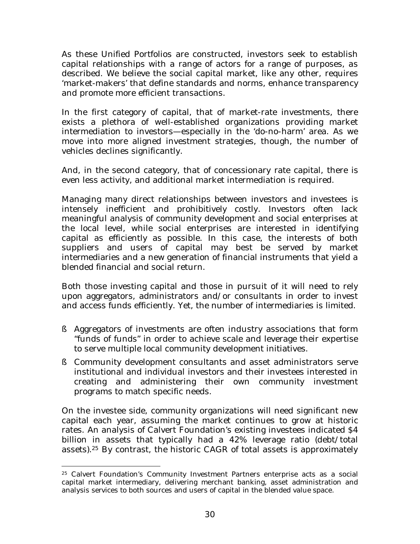As these Unified Portfolios are constructed, investors seek to establish capital relationships with a range of actors for a range of purposes, as described. We believe the social capital market, like any other, requires 'market-makers' that define standards and norms, enhance transparency and promote more efficient transactions.

In the first category of capital, that of market-rate investments, there exists a plethora of well-established organizations providing market intermediation to investors—especially in the 'do-no-harm' area. As we move into more aligned investment strategies, though, the number of vehicles declines significantly.

And, in the second category, that of concessionary rate capital, there is even less activity, and additional market intermediation is required.

Managing many direct relationships between investors and investees is intensely inefficient and prohibitively costly. Investors often lack meaningful analysis of community development and social enterprises at the local level, while social enterprises are interested in identifying capital as efficiently as possible. In this case, the interests of both suppliers and users of capital may best be served by market intermediaries and a new generation of financial instruments that yield a blended financial and social return.

Both those investing capital and those in pursuit of it will need to rely upon aggregators, administrators and/or consultants in order to invest and access funds efficiently. Yet, the number of intermediaries is limited.

- § Aggregators of investments are often industry associations that form "funds of funds" in order to achieve scale and leverage their expertise to serve multiple local community development initiatives.
- § Community development consultants and asset administrators serve institutional and individual investors and their investees interested in creating and administering their own community investment programs to match specific needs.

On the investee side, community organizations will need significant new capital each year, assuming the market continues to grow at historic rates. An analysis of Calvert Foundation's existing investees indicated \$4 billion in assets that typically had a 42% leverage ratio (debt/total assets).<sup>25</sup> By contrast, the historic CAGR of total assets is approximately

<sup>25</sup> Calvert Foundation's Community Investment Partners enterprise acts as a social capital market intermediary, delivering merchant banking, asset administration and analysis services to both sources and users of capital in the blended value space.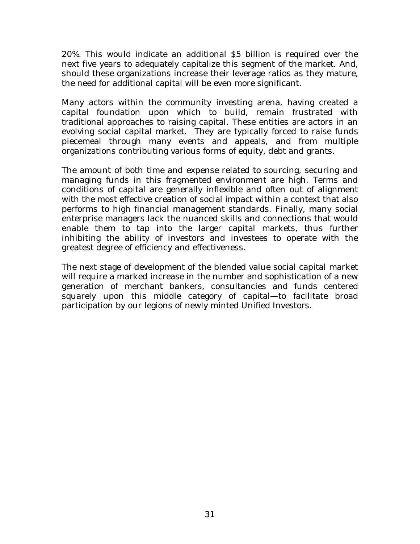*20%.* This would indicate an additional \$5 billion is required over the next five years to adequately capitalize this segment of the market. And, should these organizations increase their leverage ratios as they mature, the need for additional capital will be even more significant.

Many actors within the community investing arena, having created a capital foundation upon which to build, remain frustrated with traditional approaches to raising capital. These entities are actors in an evolving social capital market. They are typically forced to raise funds piecemeal through many events and appeals, and from multiple organizations contributing various forms of equity, debt and grants.

The amount of both time and expense related to sourcing, securing and managing funds in this fragmented environment are high. Terms and conditions of capital are generally inflexible and often out of alignment with the most effective creation of social impact within a context that also performs to high financial management standards. Finally, many social enterprise managers lack the nuanced skills and connections that would enable them to tap into the larger capital markets, thus further inhibiting the ability of investors and investees to operate with the greatest degree of efficiency and effectiveness.

The next stage of development of the blended value social capital market will require a marked increase in the number and sophistication of a new generation of merchant bankers, consultancies and funds centered squarely upon this middle category of capital—to facilitate broad participation by our legions of newly minted Unified Investors.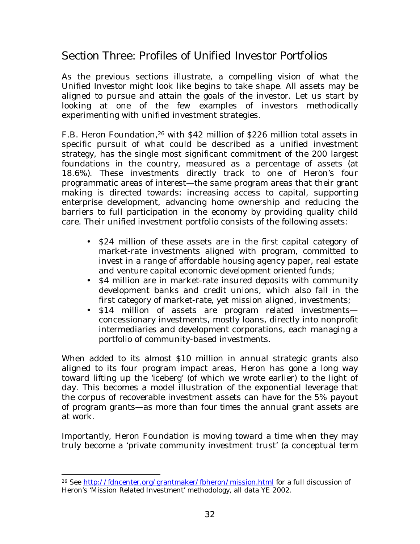## *Section Three: Profiles of Unified Investor Portfolios*

As the previous sections illustrate, a compelling vision of what the Unified Investor might look like begins to take shape. All assets may be aligned to pursue and attain the goals of the investor. Let us start by looking at one of the few examples of investors methodically experimenting with unified investment strategies.

F.B. Heron Foundation,26 with \$42 million of \$226 million total assets in specific pursuit of what could be described as a unified investment strategy, has the single most significant commitment of the 200 largest foundations in the country, measured as a percentage of assets (at 18.6%). These investments directly track to one of Heron's four programmatic areas of interest—the same program areas that their grant making is directed towards: increasing access to capital, supporting enterprise development, advancing home ownership and reducing the barriers to full participation in the economy by providing quality child care. Their unified investment portfolio consists of the following assets:

- \$24 million of these assets are in the first capital category of market-rate investments aligned with program, committed to invest in a range of affordable housing agency paper, real estate and venture capital economic development oriented funds;
- \$4 million are in market-rate insured deposits with community development banks and credit unions, which also fall in the first category of market-rate, yet mission aligned, investments;
- \$14 million of assets are program related investments concessionary investments, mostly loans, directly into nonprofit intermediaries and development corporations, each managing a portfolio of community-based investments.

When added to its almost \$10 million in annual strategic grants also aligned to its four program impact areas, Heron has gone a long way toward lifting up the 'iceberg' (of which we wrote earlier) to the light of day. This becomes a model illustration of the exponential leverage that the corpus of recoverable investment assets can have for the 5% payout of program grants—as more than *four times* the annual grant assets are at work.

Importantly, Heron Foundation is moving toward a time when they may truly become a 'private community investment trust' (a conceptual term

<sup>26</sup> See http://fdncenter.org/grantmaker/fbheron/mission.html for a full discussion of Heron's 'Mission Related Investment' methodology, all data YE 2002.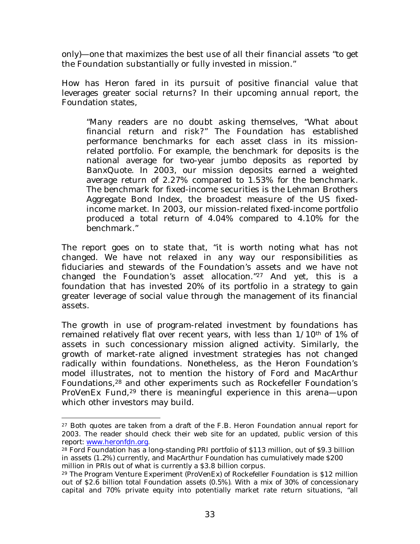only)—one that maximizes the best use of all their financial assets "to get the Foundation substantially or fully invested in mission."

How has Heron fared in its pursuit of positive financial value that leverages greater social returns? In their upcoming annual report, the Foundation states,

"Many readers are no doubt asking themselves, "What about financial return and risk?" The Foundation has established performance benchmarks for each asset class in its missionrelated portfolio. For example, the benchmark for deposits is the national average for two-year jumbo deposits as reported by BanxQuote. In 2003, our mission deposits earned a weighted average return of 2.27% compared to 1.53% for the benchmark. The benchmark for fixed-income securities is the Lehman Brothers Aggregate Bond Index, the broadest measure of the US fixedincome market. In 2003, our mission-related fixed-income portfolio produced a total return of 4.04% compared to 4.10% for the benchmark."

The report goes on to state that, "it is worth noting what has not changed. We have not relaxed in any way our responsibilities as fiduciaries and stewards of the Foundation's assets and we have not changed the Foundation's asset allocation."27 And yet, this is a foundation that has invested 20% of its portfolio in a strategy to gain greater leverage of social value through the management of its financial assets.

The growth in use of program-related investment by foundations has remained relatively flat over recent years, with less than 1/10<sup>th</sup> of 1% of assets in such concessionary mission aligned activity. Similarly, the growth of market-rate aligned investment strategies has not changed radically within foundations. Nonetheless, as the Heron Foundation's model illustrates, not to mention the history of Ford and MacArthur Foundations,28 and other experiments such as Rockefeller Foundation's ProVenEx Fund,<sup>29</sup> there is meaningful experience in this arena—upon which other investors may build.

<sup>&</sup>lt;sup>27</sup> Both quotes are taken from a draft of the F.B. Heron Foundation annual report for 2003. The reader should check their web site for an updated, public version of this report: www.heronfdn.org.

<sup>&</sup>lt;sup>28</sup> Ford Foundation has a long-standing PRI portfolio of \$113 million, out of \$9.3 billion in assets (1.2%) currently, and MacArthur Foundation has cumulatively made \$200 million in PRIs out of what is currently a \$3.8 billion corpus.

<sup>29</sup> The Program Venture Experiment (ProVenEx) of Rockefeller Foundation is \$12 million out of \$2.6 billion total Foundation assets (0.5%). With a mix of 30% of concessionary capital and 70% private equity into potentially market rate return situations, "all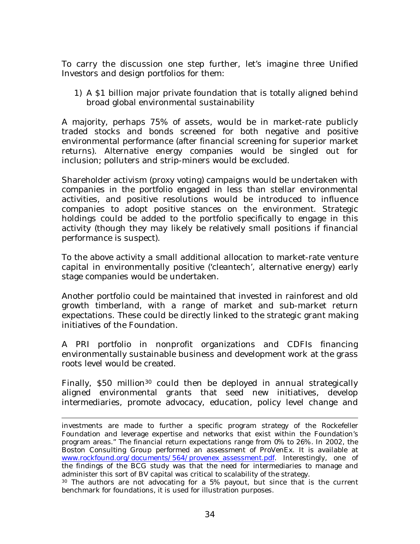To carry the discussion one step further, let's imagine three Unified Investors and design portfolios for them:

1) A \$1 billion major private foundation that is totally aligned behind broad global environmental sustainability

A majority, perhaps 75% of assets, would be in market-rate publicly traded stocks and bonds screened for both negative and positive environmental performance (after financial screening for superior market returns). Alternative energy companies would be singled out for inclusion; polluters and strip-miners would be excluded.

Shareholder activism (proxy voting) campaigns would be undertaken with companies in the portfolio engaged in less than stellar environmental activities, and positive resolutions would be introduced to influence companies to adopt positive stances on the environment. Strategic holdings could be added to the portfolio specifically to engage in this activity (though they may likely be relatively small positions if financial performance is suspect).

To the above activity a small additional allocation to market-rate venture capital in environmentally positive ('cleantech', alternative energy) early stage companies would be undertaken.

Another portfolio could be maintained that invested in rainforest and old growth timberland, with a range of market and sub-market return expectations. These could be directly linked to the strategic grant making initiatives of the Foundation.

A PRI portfolio in nonprofit organizations and CDFIs financing environmentally sustainable business and development work at the grass roots level would be created.

Finally, \$50 million<sup>30</sup> could then be deployed in annual strategically aligned environmental grants that seed new initiatives, develop intermediaries, promote advocacy, education, policy level change and

investments are made to further a specific program strategy of the Rockefeller Foundation and leverage expertise and networks that exist within the Foundation's program areas." The financial return expectations range from 0% to 26%. In 2002, the Boston Consulting Group performed an assessment of ProVenEx. It is available at www.rockfound.org/documents/564/provenex\_assessment.pdf. Interestingly, one of the findings of the BCG study was that the need for intermediaries to manage and administer this sort of BV capital was critical to scalability of the strategy.

<sup>&</sup>lt;sup>30</sup> The authors are not advocating for a 5% payout, but since that is the current benchmark for foundations, it is used for illustration purposes.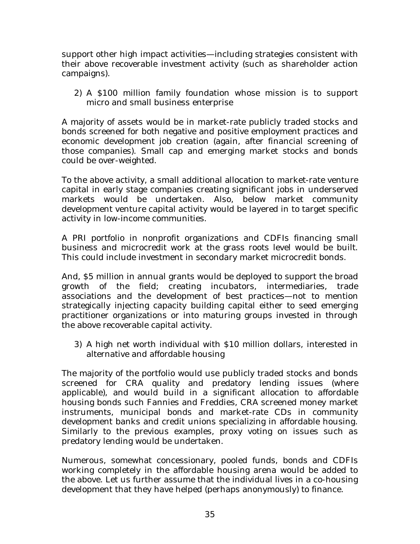support other high impact activities—including strategies consistent with their above recoverable investment activity (such as shareholder action campaigns).

2) A \$100 million family foundation whose mission is to support micro and small business enterprise

A majority of assets would be in market-rate publicly traded stocks and bonds screened for both negative and positive employment practices and economic development job creation (again, after financial screening of those companies). Small cap and emerging market stocks and bonds could be over-weighted.

To the above activity, a small additional allocation to market-rate venture capital in early stage companies creating significant jobs in underserved markets would be undertaken. Also, below market community development venture capital activity would be layered in to target specific activity in low-income communities.

A PRI portfolio in nonprofit organizations and CDFIs financing small business and microcredit work at the grass roots level would be built. This could include investment in secondary market microcredit bonds.

And, \$5 million in annual grants would be deployed to support the broad growth of the field; creating incubators, intermediaries, trade associations and the development of best practices—not to mention strategically injecting capacity building capital either to seed emerging practitioner organizations or into maturing groups invested in through the above recoverable capital activity.

3) A high net worth individual with \$10 million dollars, interested in alternative and affordable housing

The majority of the portfolio would use publicly traded stocks and bonds screened for CRA quality and predatory lending issues (where applicable), and would build in a significant allocation to affordable housing bonds such Fannies and Freddies, CRA screened money market instruments, municipal bonds and market-rate CDs in community development banks and credit unions specializing in affordable housing. Similarly to the previous examples, proxy voting on issues such as predatory lending would be undertaken.

Numerous, somewhat concessionary, pooled funds, bonds and CDFIs working completely in the affordable housing arena would be added to the above. Let us further assume that the individual lives in a co-housing development that they have helped (perhaps anonymously) to finance.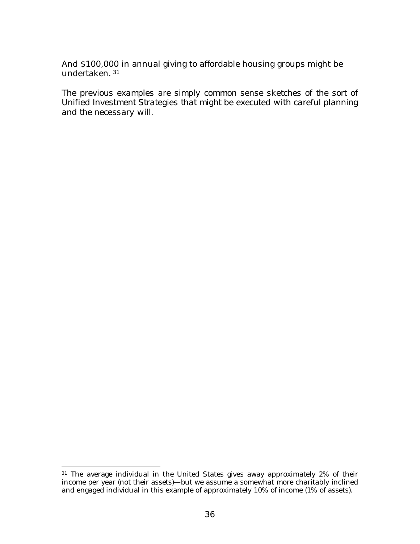And \$100,000 in annual giving to affordable housing groups might be undertaken. 31

*The previous examples are simply common sense sketches of the sort of Unified Investment Strategies that might be executed with careful planning and the necessary will.*

<sup>&</sup>lt;sup>31</sup> The average individual in the United States gives away approximately 2% of their income per year (not their assets)—but we assume a somewhat more charitably inclined and engaged individual in this example of approximately 10% of income (1% of assets).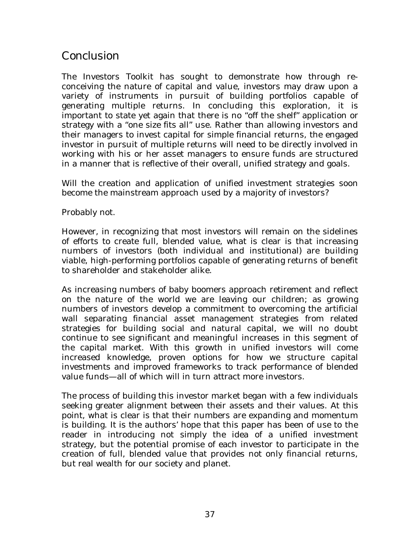### *Conclusion*

The Investors Toolkit has sought to demonstrate how through reconceiving the nature of capital and value, investors may draw upon a variety of instruments in pursuit of building portfolios capable of generating multiple returns. In concluding this exploration, it is important to state yet again that there is no "off the shelf" application or strategy with a "one size fits all" use. Rather than allowing investors and their managers to invest capital for simple financial returns, the engaged investor in pursuit of multiple returns will need to be directly involved in working with his or her asset managers to ensure funds are structured in a manner that is reflective of their overall, unified strategy and goals.

Will the creation and application of unified investment strategies soon become the mainstream approach used by a majority of investors?

Probably not.

However, in recognizing that most investors will remain on the sidelines of efforts to create full, blended value, what is clear is that increasing numbers of investors (both individual and institutional) are building viable, high-performing portfolios capable of generating returns of benefit to shareholder and stakeholder alike.

As increasing numbers of baby boomers approach retirement and reflect on the nature of the world we are leaving our children; as growing numbers of investors develop a commitment to overcoming the artificial wall separating financial asset management strategies from related strategies for building social and natural capital, we will no doubt continue to see significant and meaningful increases in this segment of the capital market. With this growth in unified investors will come increased knowledge, proven options for how we structure capital investments and improved frameworks to track performance of blended value funds—all of which will in turn attract more investors.

The process of building this investor market began with a few individuals seeking greater alignment between their assets and their values. At this point, what is clear is that their numbers are expanding and momentum is building. It is the authors' hope that this paper has been of use to the reader in introducing not simply the idea of a unified investment strategy, but the potential promise of each investor to participate in the creation of full, blended value that provides not only financial returns, but real wealth for our society and planet.